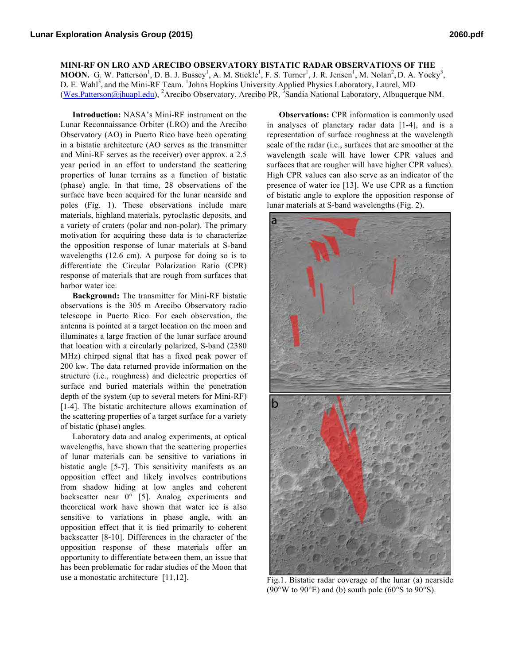## **MINI-RF ON LRO AND ARECIBO OBSERVATORY BISTATIC RADAR OBSERVATIONS OF THE**

**MOON.** G. W. Patterson<sup>1</sup>, D. B. J. Bussey<sup>1</sup>, A. M. Stickle<sup>1</sup>, F. S. Turner<sup>1</sup>, J. R. Jensen<sup>1</sup>, M. Nolan<sup>2</sup>, D. A. Yocky<sup>3</sup>, D. E. Wahl<sup>3</sup>, and the Mini-RF Team. <sup>1</sup>Johns Hopkins University Applied Physics Laboratory, Laurel, MD (Wes.Patterson@jhuapl.edu), <sup>2</sup>Arecibo Observatory, Arecibo PR, <sup>3</sup>Sandia National Laboratory, Albuquerque NM.

**Introduction:** NASA's Mini-RF instrument on the Lunar Reconnaissance Orbiter (LRO) and the Arecibo Observatory (AO) in Puerto Rico have been operating in a bistatic architecture (AO serves as the transmitter and Mini-RF serves as the receiver) over approx. a 2.5 year period in an effort to understand the scattering properties of lunar terrains as a function of bistatic (phase) angle. In that time, 28 observations of the surface have been acquired for the lunar nearside and poles (Fig. 1). These observations include mare materials, highland materials, pyroclastic deposits, and a variety of craters (polar and non-polar). The primary motivation for acquiring these data is to characterize the opposition response of lunar materials at S-band wavelengths (12.6 cm). A purpose for doing so is to differentiate the Circular Polarization Ratio (CPR) response of materials that are rough from surfaces that harbor water ice.

**Background:** The transmitter for Mini-RF bistatic observations is the 305 m Arecibo Observatory radio telescope in Puerto Rico. For each observation, the antenna is pointed at a target location on the moon and illuminates a large fraction of the lunar surface around that location with a circularly polarized, S-band (2380 MHz) chirped signal that has a fixed peak power of 200 kw. The data returned provide information on the structure (i.e., roughness) and dielectric properties of surface and buried materials within the penetration depth of the system (up to several meters for Mini-RF) [1-4]. The bistatic architecture allows examination of the scattering properties of a target surface for a variety of bistatic (phase) angles.

Laboratory data and analog experiments, at optical wavelengths, have shown that the scattering properties of lunar materials can be sensitive to variations in bistatic angle [5-7]. This sensitivity manifests as an opposition effect and likely involves contributions from shadow hiding at low angles and coherent backscatter near 0° [5]. Analog experiments and theoretical work have shown that water ice is also sensitive to variations in phase angle, with an opposition effect that it is tied primarily to coherent backscatter [8-10]. Differences in the character of the opposition response of these materials offer an opportunity to differentiate between them, an issue that has been problematic for radar studies of the Moon that use a monostatic architecture [11,12].

**Observations:** CPR information is commonly used in analyses of planetary radar data [1-4], and is a representation of surface roughness at the wavelength scale of the radar (i.e., surfaces that are smoother at the wavelength scale will have lower CPR values and surfaces that are rougher will have higher CPR values). High CPR values can also serve as an indicator of the presence of water ice [13]. We use CPR as a function of bistatic angle to explore the opposition response of lunar materials at S-band wavelengths (Fig. 2).



Fig.1. Bistatic radar coverage of the lunar (a) nearside (90°W to 90°E) and (b) south pole (60°S to 90°S).